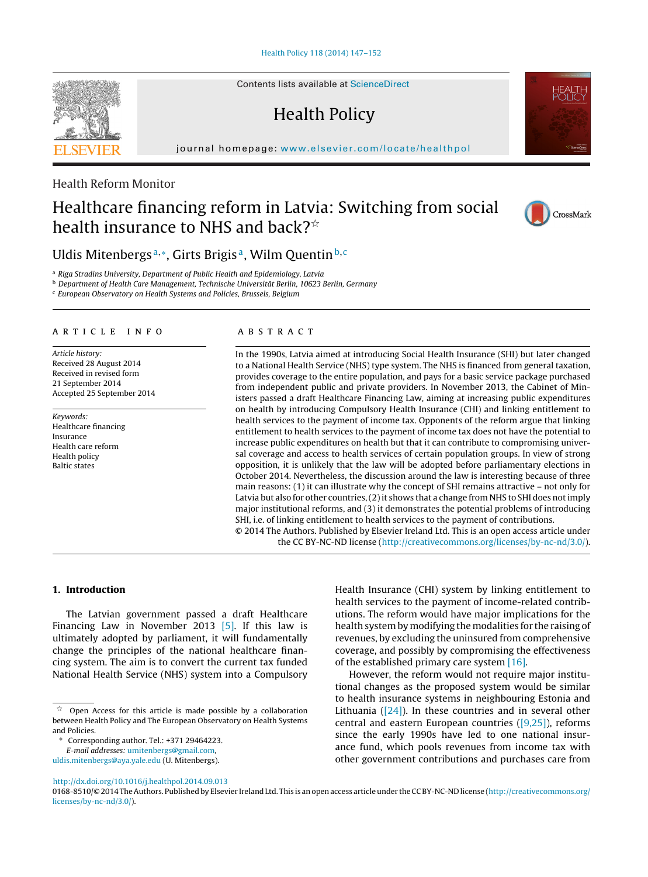Contents lists available at [ScienceDirect](http://www.sciencedirect.com/science/journal/01688510)

# Health Policy

journal homepage: [www.elsevier.com/locate/healthpol](http://www.elsevier.com/locate/healthpol)

# Health Reform Monitor

# Healthcare financing reform in Latvia: Switching from social health insurance to NHS and back? $^{\star}$

Uldis Mitenbergs<sup>a,\*</sup>, Girts Brigis<sup>a</sup>, Wilm Quentin<sup>b,c</sup>

<sup>a</sup> Riga Stradins University, Department of Public Health and Epidemiology, Latvia

<sup>b</sup> Department of Health Care Management, Technische Universität Berlin, 10623 Berlin, Germany

<sup>c</sup> European Observatory on Health Systems and Policies, Brussels, Belgium

#### ARTICLE INFO

Article history: Received 28 August 2014 Received in revised form 21 September 2014 Accepted 25 September 2014

Keywords: Healthcare financing Insurance Health care reform Health policy Baltic states

#### a b s t r a c t

In the 1990s, Latvia aimed at introducing Social Health Insurance (SHI) but later changed to a National Health Service (NHS) type system. The NHS is financed from general taxation, provides coverage to the entire population, and pays for a basic service package purchased from independent public and private providers. In November 2013, the Cabinet of Ministers passed a draft Healthcare Financing Law, aiming at increasing public expenditures on health by introducing Compulsory Health Insurance (CHI) and linking entitlement to health services to the payment of income tax. Opponents of the reform argue that linking entitlement to health services to the payment of income tax does not have the potential to increase public expenditures on health but that it can contribute to compromising universal coverage and access to health services of certain population groups. In view of strong opposition, it is unlikely that the law will be adopted before parliamentary elections in October 2014. Nevertheless, the discussion around the law is interesting because of three main reasons: (1) it can illustrate why the concept of SHI remains attractive – not only for Latvia but also for other countries,  $(2)$  it shows that a change from NHS to SHI does not imply major institutional reforms, and (3) it demonstrates the potential problems of introducing SHI, i.e. of linking entitlement to health services to the payment of contributions. © 2014 The Authors. Published by Elsevier Ireland Ltd. This is an open access article under

the CC BY-NC-ND license ([http://creativecommons.org/licenses/by-nc-nd/3.0/\)](http://creativecommons.org/licenses/by-nc-nd/3.0/).

### **1. Introduction**

The Latvian government passed a draft Healthcare Financing Law in November 2013 [\[5\].](#page-5-0) If this law is ultimately adopted by parliament, it will fundamentally change the principles of the national healthcare financing system. The aim is to convert the current tax funded National Health Service (NHS) system into a Compulsory

∗ Corresponding author. Tel.: +371 29464223.

[uldis.mitenbergs@aya.yale.edu](mailto:uldis.mitenbergs@aya.yale.edu) (U. Mitenbergs).

Health Insurance (CHI) system by linking entitlement to health services to the payment of income-related contributions. The reform would have major implications for the health system by modifying the modalities for the raising of revenues, by excluding the uninsured from comprehensive coverage, and possibly by compromising the effectiveness of the established primary care system [\[16\].](#page-5-0)

However, the reform would not require major institutional changes as the proposed system would be similar to health insurance systems in neighbouring Estonia and Lithuania  $(24)$ . In these countries and in several other central and eastern European countries ([\[9,25\]\),](#page-5-0) reforms since the early 1990s have led to one national insurance fund, which pools revenues from income tax with other government contributions and purchases care from





CrossMark

 $\gamma_{\chi}^{\prime}$  Open Access for this article is made possible by a collaboration between Health Policy and The European Observatory on Health Systems and Policies.

E-mail addresses: [umitenbergs@gmail.com,](mailto:umitenbergs@gmail.com)

[http://dx.doi.org/10.1016/j.healthpol.2014.09.013](dx.doi.org/10.1016/j.healthpol.2014.09.013)

<sup>0168-8510/©</sup> 2014 TheAuthors. Published by Elsevier Ireland Ltd. This is anopenaccess articleunder theCCBY-NC-ND license ([http://creativecommons.org/](http://creativecommons.org/licenses/by-nc-nd/3.0/) [licenses/by-nc-nd/3.0/](http://creativecommons.org/licenses/by-nc-nd/3.0/)).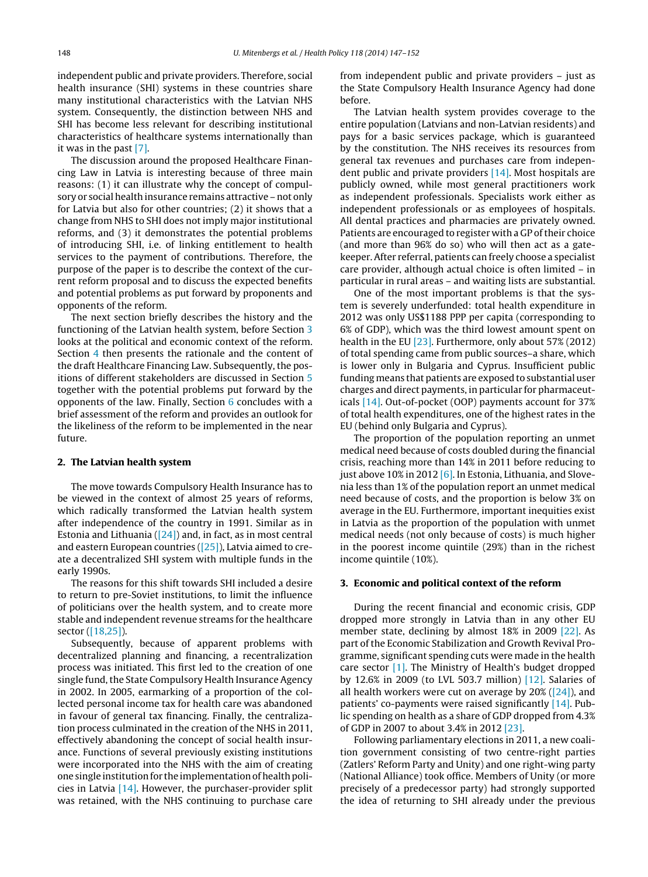independent public and private providers. Therefore, social health insurance (SHI) systems in these countries share many institutional characteristics with the Latvian NHS system. Consequently, the distinction between NHS and SHI has become less relevant for describing institutional characteristics of healthcare systems internationally than it was in the past [\[7\].](#page-5-0)

The discussion around the proposed Healthcare Financing Law in Latvia is interesting because of three main reasons: (1) it can illustrate why the concept of compulsory or social health insurance remains attractive – not only for Latvia but also for other countries; (2) it shows that a change from NHS to SHI does not imply major institutional reforms, and (3) it demonstrates the potential problems of introducing SHI, i.e. of linking entitlement to health services to the payment of contributions. Therefore, the purpose of the paper is to describe the context of the current reform proposal and to discuss the expected benefits and potential problems as put forward by proponents and opponents of the reform.

The next section briefly describes the history and the functioning of the Latvian health system, before Section 3 looks at the political and economic context of the reform. Section [4](#page-2-0) then presents the rationale and the content of the draft Healthcare Financing Law. Subsequently, the positions of different stakeholders are discussed in Section [5](#page-2-0) together with the potential problems put forward by the opponents of the law. Finally, Section [6](#page-4-0) concludes with a brief assessment of the reform and provides an outlook for the likeliness of the reform to be implemented in the near future.

#### **2. The Latvian health system**

The move towards Compulsory Health Insurance has to be viewed in the context of almost 25 years of reforms, which radically transformed the Latvian health system after independence of the country in 1991. Similar as in Estonia and Lithuania  $([24])$  and, in fact, as in most central and eastern European countries ([\[25\]\),](#page-5-0) Latvia aimed to create a decentralized SHI system with multiple funds in the early 1990s.

The reasons for this shift towards SHI included a desire to return to pre-Soviet institutions, to limit the influence of politicians over the health system, and to create more stable and independent revenue streams for the healthcare sector ([\[18,25\]\).](#page-5-0)

Subsequently, because of apparent problems with decentralized planning and financing, a recentralization process was initiated. This first led to the creation of one single fund, the State Compulsory Health Insurance Agency in 2002. In 2005, earmarking of a proportion of the collected personal income tax for health care was abandoned in favour of general tax financing. Finally, the centralization process culminated in the creation of the NHS in 2011, effectively abandoning the concept of social health insurance. Functions of several previously existing institutions were incorporated into the NHS with the aim of creating one single institution for the implementation of health policies in Latvia [\[14\].](#page-5-0) However, the purchaser-provider split was retained, with the NHS continuing to purchase care

from independent public and private providers – just as the State Compulsory Health Insurance Agency had done before.

The Latvian health system provides coverage to the entire population (Latvians and non-Latvian residents) and pays for a basic services package, which is guaranteed by the constitution. The NHS receives its resources from general tax revenues and purchases care from independent public and private providers  $[14]$ . Most hospitals are publicly owned, while most general practitioners work as independent professionals. Specialists work either as independent professionals or as employees of hospitals. All dental practices and pharmacies are privately owned. Patients are encouraged to register with a GP of their choice (and more than 96% do so) who will then act as a gatekeeper. After referral, patients can freely choose a specialist care provider, although actual choice is often limited – in particular in rural areas – and waiting lists are substantial.

One of the most important problems is that the system is severely underfunded: total health expenditure in 2012 was only US\$1188 PPP per capita (corresponding to 6% of GDP), which was the third lowest amount spent on health in the EU [\[23\].](#page-5-0) Furthermore, only about 57% (2012) of total spending came from public sources–a share, which is lower only in Bulgaria and Cyprus. Insufficient public funding means that patients are exposed to substantial user charges and direct payments, in particular for pharmaceuticals [\[14\].](#page-5-0) Out-of-pocket (OOP) payments account for 37% of total health expenditures, one of the highest rates in the EU (behind only Bulgaria and Cyprus).

The proportion of the population reporting an unmet medical need because of costs doubled during the financial crisis, reaching more than 14% in 2011 before reducing to just above 10% in 2012 [\[6\].](#page-5-0) In Estonia, Lithuania, and Slovenia less than 1% of the population report an unmet medical need because of costs, and the proportion is below 3% on average in the EU. Furthermore, important inequities exist in Latvia as the proportion of the population with unmet medical needs (not only because of costs) is much higher in the poorest income quintile (29%) than in the richest income quintile (10%).

#### **3. Economic and political context of the reform**

During the recent financial and economic crisis, GDP dropped more strongly in Latvia than in any other EU member state, declining by almost 18% in 2009 [\[22\].](#page-5-0) As part of the Economic Stabilization and Growth Revival Programme, significant spending cuts were made in the health care sector  $[1]$ . The Ministry of Health's budget dropped by 12.6% in 2009 (to LVL 503.7 million) [\[12\].](#page-5-0) Salaries of all health workers were cut on average by  $20\%$  [\(\[24\]\),](#page-5-0) and patients' co-payments were raised significantly [\[14\].](#page-5-0) Public spending on health as a share of GDP dropped from 4.3% of GDP in 2007 to about 3.4% in 2012 [\[23\].](#page-5-0)

Following parliamentary elections in 2011, a new coalition government consisting of two centre-right parties (Zatlers' Reform Party and Unity) and one right-wing party (National Alliance) took office. Members of Unity (or more precisely of a predecessor party) had strongly supported the idea of returning to SHI already under the previous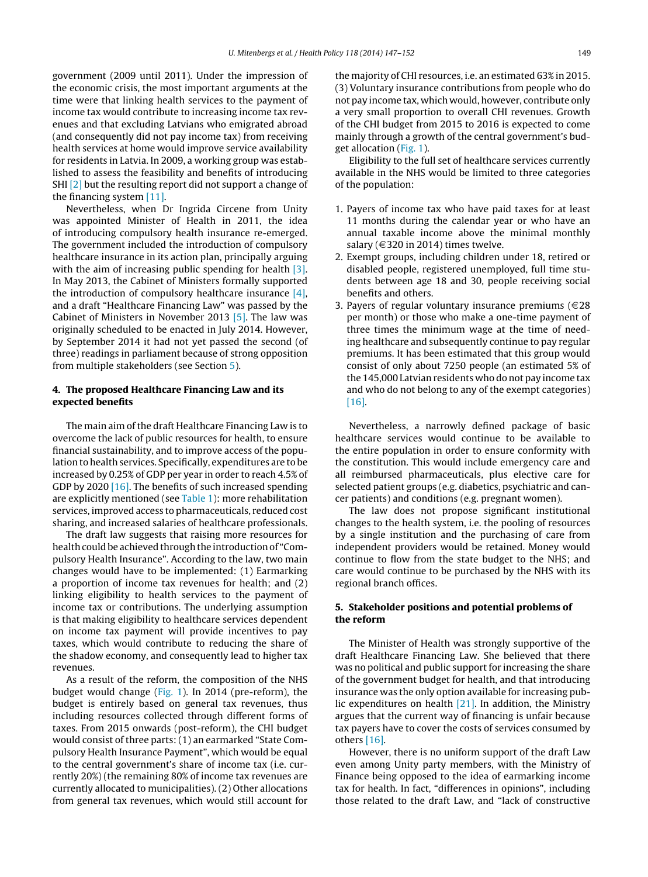<span id="page-2-0"></span>government (2009 until 2011). Under the impression of the economic crisis, the most important arguments at the time were that linking health services to the payment of income tax would contribute to increasing income tax revenues and that excluding Latvians who emigrated abroad (and consequently did not pay income tax) from receiving health services at home would improve service availability for residents in Latvia. In 2009, a working group was established to assess the feasibility and benefits of introducing SHI [\[2\]](#page-5-0) but the resulting report did not support a change of the financing system [\[11\].](#page-5-0)

Nevertheless, when Dr Ingrida Circene from Unity was appointed Minister of Health in 2011, the idea of introducing compulsory health insurance re-emerged. The government included the introduction of compulsory healthcare insurance in its action plan, principally arguing with the aim of increasing public spending for health [\[3\].](#page-5-0) In May 2013, the Cabinet of Ministers formally supported the introduction of compulsory healthcare insurance [\[4\],](#page-5-0) and a draft "Healthcare Financing Law" was passed by the Cabinet of Ministers in November 2013 [\[5\].](#page-5-0) The law was originally scheduled to be enacted in July 2014. However, by September 2014 it had not yet passed the second (of three) readings in parliament because of strong opposition from multiple stakeholders (see Section 5).

### **4. The proposed Healthcare Financing Law and its expected benefits**

The main aim of the draft Healthcare Financing Law is to overcome the lack of public resources for health, to ensure financial sustainability, and to improve access of the population to health services. Specifically, expenditures are to be increased by 0.25% of GDP per year in order to reach 4.5% of GDP by 2020 [\[16\].](#page-5-0) The benefits of such increased spending are explicitly mentioned (see [Table](#page-3-0) 1): more rehabilitation services, improved access to pharmaceuticals, reduced cost sharing, and increased salaries of healthcare professionals.

The draft law suggests that raising more resources for health could be achieved through the introduction of "Compulsory Health Insurance". According to the law, two main changes would have to be implemented: (1) Earmarking a proportion of income tax revenues for health; and (2) linking eligibility to health services to the payment of income tax or contributions. The underlying assumption is that making eligibility to healthcare services dependent on income tax payment will provide incentives to pay taxes, which would contribute to reducing the share of the shadow economy, and consequently lead to higher tax revenues.

As a result of the reform, the composition of the NHS budget would change [\(Fig.](#page-3-0) 1). In 2014 (pre-reform), the budget is entirely based on general tax revenues, thus including resources collected through different forms of taxes. From 2015 onwards (post-reform), the CHI budget would consist of three parts: (1) an earmarked "State Compulsory Health Insurance Payment", which would be equal to the central government's share of income tax (i.e. currently 20%) (the remaining 80% of income tax revenues are currently allocated to municipalities). (2) Other allocations from general tax revenues, which would still account for the majority of CHI resources, i.e. an estimated 63% in 2015. (3) Voluntary insurance contributions from people who do not pay income tax, which would, however, contribute only a very small proportion to overall CHI revenues. Growth of the CHI budget from 2015 to 2016 is expected to come mainly through a growth of the central government's budget allocation ([Fig.](#page-3-0) 1).

Eligibility to the full set of healthcare services currently available in the NHS would be limited to three categories of the population:

- 1. Payers of income tax who have paid taxes for at least 11 months during the calendar year or who have an annual taxable income above the minimal monthly salary ( $\in$ 320 in 2014) times twelve.
- 2. Exempt groups, including children under 18, retired or disabled people, registered unemployed, full time students between age 18 and 30, people receiving social benefits and others.
- 3. Payers of regular voluntary insurance premiums ( $\in$ 28 per month) or those who make a one-time payment of three times the minimum wage at the time of needing healthcare and subsequently continue to pay regular premiums. It has been estimated that this group would consist of only about 7250 people (an estimated 5% of the 145,000 Latvian residents who do not pay income tax and who do not belong to any of the exempt categories) [\[16\].](#page-5-0)

Nevertheless, a narrowly defined package of basic healthcare services would continue to be available to the entire population in order to ensure conformity with the constitution. This would include emergency care and all reimbursed pharmaceuticals, plus elective care for selected patient groups (e.g. diabetics, psychiatric and cancer patients) and conditions (e.g. pregnant women).

The law does not propose significant institutional changes to the health system, i.e. the pooling of resources by a single institution and the purchasing of care from independent providers would be retained. Money would continue to flow from the state budget to the NHS; and care would continue to be purchased by the NHS with its regional branch offices.

## **5. Stakeholder positions and potential problems of the reform**

The Minister of Health was strongly supportive of the draft Healthcare Financing Law. She believed that there was no political and public support for increasing the share of the government budget for health, and that introducing insurance was the only option available for increasing public expenditures on health [\[21\].](#page-5-0) In addition, the Ministry argues that the current way of financing is unfair because tax payers have to cover the costs of services consumed by others [\[16\].](#page-5-0)

However, there is no uniform support of the draft Law even among Unity party members, with the Ministry of Finance being opposed to the idea of earmarking income tax for health. In fact, "differences in opinions", including those related to the draft Law, and "lack of constructive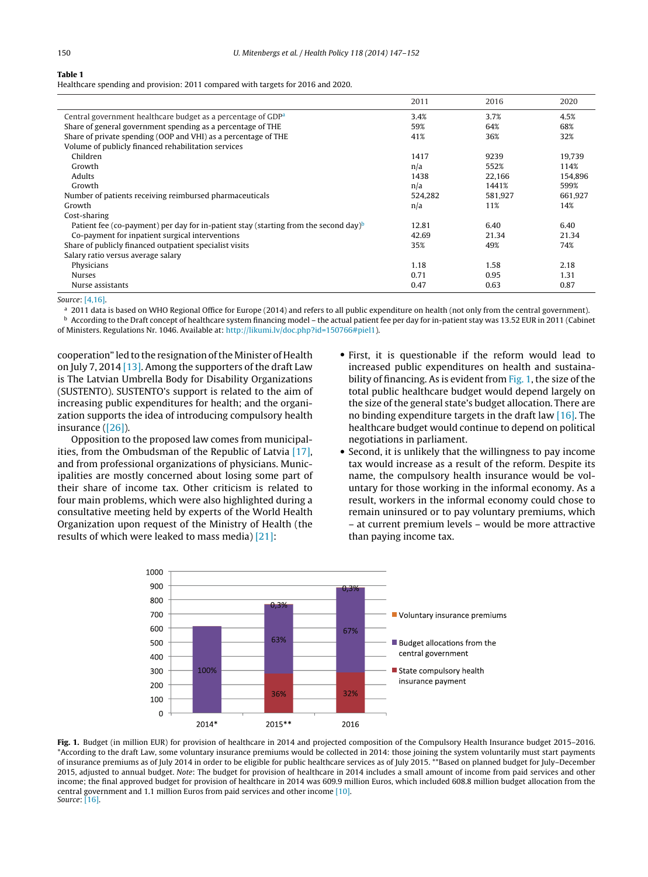<span id="page-3-0"></span>

Healthcare spending and provision: 2011 compared with targets for 2016 and 2020.

|                                                                                                  | 2011    | 2016    | 2020    |
|--------------------------------------------------------------------------------------------------|---------|---------|---------|
| Central government healthcare budget as a percentage of GDP <sup>a</sup>                         | 3.4%    | 3.7%    | 4.5%    |
| Share of general government spending as a percentage of THE                                      | 59%     | 64%     | 68%     |
| Share of private spending (OOP and VHI) as a percentage of THE                                   | 41%     | 36%     | 32%     |
| Volume of publicly financed rehabilitation services                                              |         |         |         |
| Children                                                                                         | 1417    | 9239    | 19.739  |
| Growth                                                                                           | n/a     | 552%    | 114%    |
| <b>Adults</b>                                                                                    | 1438    | 22.166  | 154.896 |
| Growth                                                                                           | n/a     | 1441%   | 599%    |
| Number of patients receiving reimbursed pharmaceuticals                                          | 524,282 | 581,927 | 661,927 |
| Growth                                                                                           | n/a     | 11%     | 14%     |
| Cost-sharing                                                                                     |         |         |         |
| Patient fee (co-payment) per day for in-patient stay (starting from the second day) <sup>b</sup> | 12.81   | 6.40    | 6.40    |
| Co-payment for inpatient surgical interventions                                                  | 42.69   | 21.34   | 21.34   |
| Share of publicly financed outpatient specialist visits                                          | 35%     | 49%     | 74%     |
| Salary ratio versus average salary                                                               |         |         |         |
| Physicians                                                                                       | 1.18    | 1.58    | 2.18    |
| <b>Nurses</b>                                                                                    | 0.71    | 0.95    | 1.31    |
| Nurse assistants                                                                                 | 0.47    | 0.63    | 0.87    |

Source: [\[4,16\].](#page-5-0)

<sup>a</sup> 2011 data is based on WHO Regional Office for Europe (2014) and refers to all public expenditure on health (not only from the central government). **b** According to the Draft concept of healthcare system financing model – the actual patient fee per day for in-patient stay was 13.52 EUR in 2011 (Cabinet

of Ministers. Regulations Nr. 1046. Available at: [http://likumi.lv/doc.php?id=150766#piel1\)](http://likumi.lv/doc.php?id=150766#piel1).

cooperation" led to the resignation ofthe Minister of Health on July 7, 2014 [\[13\].](#page-5-0) Among the supporters of the draft Law is The Latvian Umbrella Body for Disability Organizations (SUSTENTO). SUSTENTO's support is related to the aim of increasing public expenditures for health; and the organization supports the idea of introducing compulsory health insurance ([\[26\]\).](#page-5-0)

Opposition to the proposed law comes from municipalities, from the Ombudsman of the Republic of Latvia [\[17\],](#page-5-0) and from professional organizations of physicians. Municipalities are mostly concerned about losing some part of their share of income tax. Other criticism is related to four main problems, which were also highlighted during a consultative meeting held by experts of the World Health Organization upon request of the Ministry of Health (the results of which were leaked to mass media) [\[21\]:](#page-5-0)

- First, it is questionable if the reform would lead to increased public expenditures on health and sustainability of financing. As is evident from Fig. 1, the size of the total public healthcare budget would depend largely on the size of the general state's budget allocation. There are no binding expenditure targets in the draft law [\[16\].](#page-5-0) The healthcare budget would continue to depend on political negotiations in parliament.
- Second, it is unlikely that the willingness to pay income tax would increase as a result of the reform. Despite its name, the compulsory health insurance would be voluntary for those working in the informal economy. As a result, workers in the informal economy could chose to remain uninsured or to pay voluntary premiums, which – at current premium levels – would be more attractive than paying income tax.



**Fig. 1.** Budget (in million EUR) for provision of healthcare in 2014 and projected composition of the Compulsory Health Insurance budget 2015–2016. \*According to the draft Law, some voluntary insurance premiums would be collected in 2014: those joining the system voluntarily must start payments of insurance premiums as of July 2014 in order to be eligible for public healthcare services as of July 2015. \*\*Based on planned budget for July–December 2015, adjusted to annual budget. Note: The budget for provision of healthcare in 2014 includes a small amount of income from paid services and other income; the final approved budget for provision of healthcare in 2014 was 609.9 million Euros, which included 608.8 million budget allocation from the central government and 1.1 million Euros from paid services and other income [\[10\].](#page-5-0) Source: [\[16\].](#page-5-0)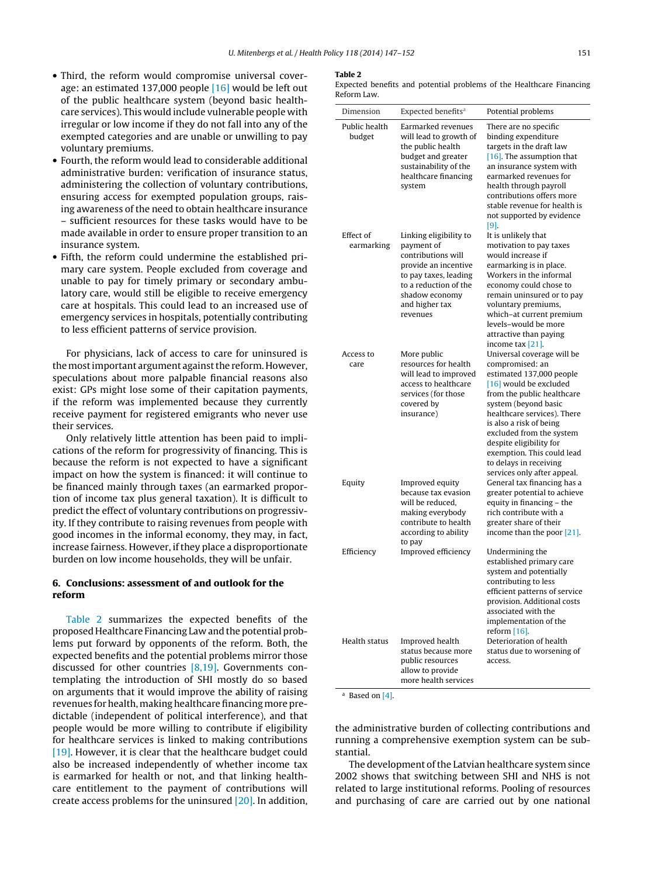- <span id="page-4-0"></span>• Third, the reform would compromise universal coverage: an estimated 137,000 people [\[16\]](#page-5-0) would be left out of the public healthcare system (beyond basic healthcare services). This would include vulnerable people with irregular or low income if they do not fall into any of the exempted categories and are unable or unwilling to pay voluntary premiums.
- Fourth, the reform would lead to considerable additional administrative burden: verification of insurance status, administering the collection of voluntary contributions, ensuring access for exempted population groups, raising awareness of the need to obtain healthcare insurance – sufficient resources for these tasks would have to be made available in order to ensure proper transition to an insurance system.
- Fifth, the reform could undermine the established primary care system. People excluded from coverage and unable to pay for timely primary or secondary ambulatory care, would still be eligible to receive emergency care at hospitals. This could lead to an increased use of emergency services in hospitals, potentially contributing to less efficient patterns of service provision.

For physicians, lack of access to care for uninsured is the most important argument against the reform. However, speculations about more palpable financial reasons also exist: GPs might lose some of their capitation payments, if the reform was implemented because they currently receive payment for registered emigrants who never use their services.

Only relatively little attention has been paid to implications of the reform for progressivity of financing. This is because the reform is not expected to have a significant impact on how the system is financed: it will continue to be financed mainly through taxes (an earmarked proportion of income tax plus general taxation). It is difficult to predict the effect of voluntary contributions on progressivity. If they contribute to raising revenues from people with good incomes in the informal economy, they may, in fact, increase fairness. However, if they place a disproportionate burden on low income households, they will be unfair.

#### **6. Conclusions: assessment of and outlook for the reform**

Table 2 summarizes the expected benefits of the proposed Healthcare Financing Law and the potential problems put forward by opponents of the reform. Both, the expected benefits and the potential problems mirror those discussed for other countries [\[8,19\].](#page-5-0) Governments contemplating the introduction of SHI mostly do so based on arguments that it would improve the ability of raising revenues for health, making healthcare financing more predictable (independent of political interference), and that people would be more willing to contribute if eligibility for healthcare services is linked to making contributions [\[19\].](#page-5-0) However, it is clear that the healthcare budget could also be increased independently of whether income tax is earmarked for health or not, and that linking healthcare entitlement to the payment of contributions will create access problems for the uninsured [\[20\].](#page-5-0) In addition,

#### **Table 2**

Expected benefits and potential problems of the Healthcare Financing Reform Law.

| Dimension               | Expected benefits <sup>a</sup>                                                                                                                                                       | Potential problems                                                                                                                                                                                                                                                                                                                                                |
|-------------------------|--------------------------------------------------------------------------------------------------------------------------------------------------------------------------------------|-------------------------------------------------------------------------------------------------------------------------------------------------------------------------------------------------------------------------------------------------------------------------------------------------------------------------------------------------------------------|
| Public health<br>budget | Earmarked revenues<br>will lead to growth of<br>the public health<br>budget and greater<br>sustainability of the<br>healthcare financing<br>system                                   | There are no specific<br>binding expenditure<br>targets in the draft law<br>$[16]$ . The assumption that<br>an insurance system with<br>earmarked revenues for<br>health through payroll<br>contributions offers more<br>stable revenue for health is<br>not supported by evidence<br>[9]                                                                         |
| Effect of<br>earmarking | Linking eligibility to<br>payment of<br>contributions will<br>provide an incentive<br>to pay taxes, leading<br>to a reduction of the<br>shadow economy<br>and higher tax<br>revenues | It is unlikely that<br>motivation to pay taxes<br>would increase if<br>earmarking is in place.<br>Workers in the informal<br>economy could chose to<br>remain uninsured or to pay<br>voluntary premiums,<br>which-at current premium<br>levels-would be more<br>attractive than paying<br>income tax [21].                                                        |
| Access to<br>care       | More public<br>resources for health<br>will lead to improved<br>access to healthcare<br>services (for those<br>covered by<br>insurance)                                              | Universal coverage will be<br>compromised: an<br>estimated 137,000 people<br>[16] would be excluded<br>from the public healthcare<br>system (beyond basic<br>healthcare services). There<br>is also a risk of being<br>excluded from the system<br>despite eligibility for<br>exemption. This could lead<br>to delays in receiving<br>services only after appeal. |
| Equity                  | Improved equity<br>because tax evasion<br>will be reduced,<br>making everybody<br>contribute to health<br>according to ability<br>to pay                                             | General tax financing has a<br>greater potential to achieve<br>equity in financing - the<br>rich contribute with a<br>greater share of their<br>income than the poor [21].                                                                                                                                                                                        |
| Efficiency              | Improved efficiency                                                                                                                                                                  | Undermining the<br>established primary care<br>system and potentially<br>contributing to less<br>efficient patterns of service<br>provision. Additional costs<br>associated with the<br>implementation of the<br>reform $[16]$ .                                                                                                                                  |
| Health status           | Improved health<br>status because more<br>public resources<br>allow to provide<br>more health services                                                                               | Deterioration of health<br>status due to worsening of<br>access.                                                                                                                                                                                                                                                                                                  |

<sup>a</sup> Based on [\[4\].](#page-5-0)

the administrative burden of collecting contributions and running a comprehensive exemption system can be substantial.

The development of the Latvian healthcare system since 2002 shows that switching between SHI and NHS is not related to large institutional reforms. Pooling of resources and purchasing of care are carried out by one national